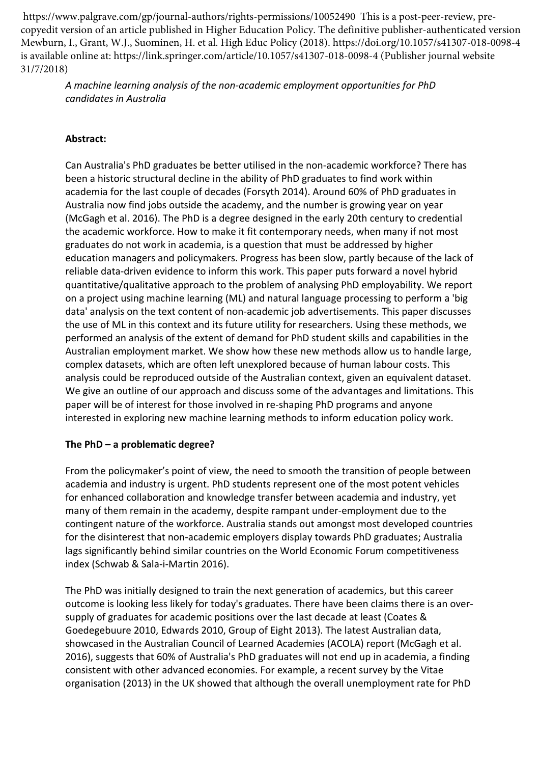https://www.palgrave.com/gp/journal-authors/rights-permissions/10052490 This is a post-peer-review, precopyedit version of an article published in Higher Education Policy. The definitive publisher-authenticated version Mewburn, I., Grant, W.J., Suominen, H. et al. High Educ Policy (2018). https://doi.org/10.1057/s41307-018-0098-4 is available online at: https://link.springer.com/article/10.1057/s41307-018-0098-4 (Publisher journal website 31/7/2018)

*A machine learning analysis of the non‐academic employment opportunities for PhD candidates in Australia*

### **Abstract:**

Can Australia's PhD graduates be better utilised in the non‐academic workforce? There has been a historic structural decline in the ability of PhD graduates to find work within academia for the last couple of decades (Forsyth 2014). Around 60% of PhD graduates in Australia now find jobs outside the academy, and the number is growing year on year (McGagh et al. 2016). The PhD is a degree designed in the early 20th century to credential the academic workforce. How to make it fit contemporary needs, when many if not most graduates do not work in academia, is a question that must be addressed by higher education managers and policymakers. Progress has been slow, partly because of the lack of reliable data‐driven evidence to inform this work. This paper puts forward a novel hybrid quantitative/qualitative approach to the problem of analysing PhD employability. We report on a project using machine learning (ML) and natural language processing to perform a 'big data' analysis on the text content of non‐academic job advertisements. This paper discusses the use of ML in this context and its future utility for researchers. Using these methods, we performed an analysis of the extent of demand for PhD student skills and capabilities in the Australian employment market. We show how these new methods allow us to handle large, complex datasets, which are often left unexplored because of human labour costs. This analysis could be reproduced outside of the Australian context, given an equivalent dataset. We give an outline of our approach and discuss some of the advantages and limitations. This paper will be of interest for those involved in re‐shaping PhD programs and anyone interested in exploring new machine learning methods to inform education policy work.

## **The PhD – a problematic degree?**

From the policymaker's point of view, the need to smooth the transition of people between academia and industry is urgent. PhD students represent one of the most potent vehicles for enhanced collaboration and knowledge transfer between academia and industry, yet many of them remain in the academy, despite rampant under‐employment due to the contingent nature of the workforce. Australia stands out amongst most developed countries for the disinterest that non-academic employers display towards PhD graduates; Australia lags significantly behind similar countries on the World Economic Forum competitiveness index (Schwab & Sala‐i‐Martin 2016).

The PhD was initially designed to train the next generation of academics, but this career outcome is looking less likely for today's graduates. There have been claims there is an over‐ supply of graduates for academic positions over the last decade at least (Coates & Goedegebuure 2010, Edwards 2010, Group of Eight 2013). The latest Australian data, showcased in the Australian Council of Learned Academies (ACOLA) report (McGagh et al. 2016), suggests that 60% of Australia's PhD graduates will not end up in academia, a finding consistent with other advanced economies. For example, a recent survey by the Vitae organisation (2013) in the UK showed that although the overall unemployment rate for PhD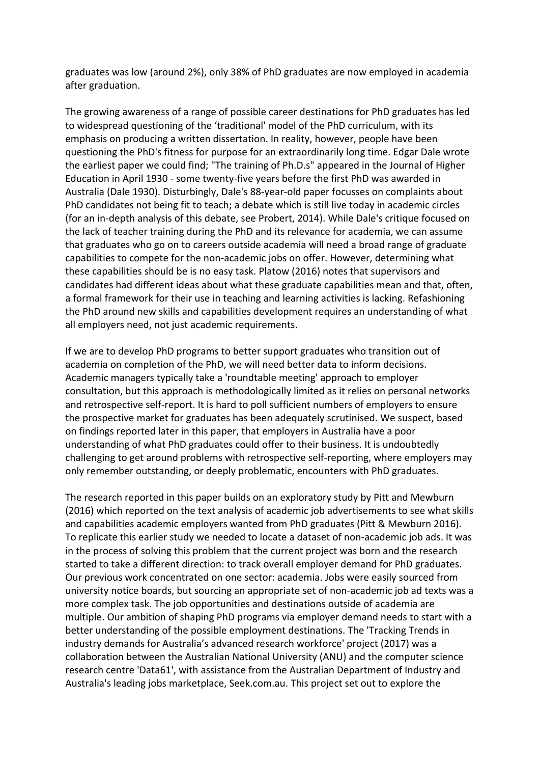graduates was low (around 2%), only 38% of PhD graduates are now employed in academia after graduation.

The growing awareness of a range of possible career destinations for PhD graduates has led to widespread questioning of the 'traditional' model of the PhD curriculum, with its emphasis on producing a written dissertation. In reality, however, people have been questioning the PhD's fitness for purpose for an extraordinarily long time. Edgar Dale wrote the earliest paper we could find; "The training of Ph.D.s" appeared in the Journal of Higher Education in April 1930 ‐ some twenty‐five years before the first PhD was awarded in Australia (Dale 1930). Disturbingly, Dale's 88‐year‐old paper focusses on complaints about PhD candidates not being fit to teach; a debate which is still live today in academic circles (for an in‐depth analysis of this debate, see Probert, 2014). While Dale's critique focused on the lack of teacher training during the PhD and its relevance for academia, we can assume that graduates who go on to careers outside academia will need a broad range of graduate capabilities to compete for the non‐academic jobs on offer. However, determining what these capabilities should be is no easy task. Platow (2016) notes that supervisors and candidates had different ideas about what these graduate capabilities mean and that, often, a formal framework for their use in teaching and learning activities is lacking. Refashioning the PhD around new skills and capabilities development requires an understanding of what all employers need, not just academic requirements.

If we are to develop PhD programs to better support graduates who transition out of academia on completion of the PhD, we will need better data to inform decisions. Academic managers typically take a 'roundtable meeting' approach to employer consultation, but this approach is methodologically limited as it relies on personal networks and retrospective self-report. It is hard to poll sufficient numbers of employers to ensure the prospective market for graduates has been adequately scrutinised. We suspect, based on findings reported later in this paper, that employers in Australia have a poor understanding of what PhD graduates could offer to their business. It is undoubtedly challenging to get around problems with retrospective self‐reporting, where employers may only remember outstanding, or deeply problematic, encounters with PhD graduates.

The research reported in this paper builds on an exploratory study by Pitt and Mewburn (2016) which reported on the text analysis of academic job advertisements to see what skills and capabilities academic employers wanted from PhD graduates (Pitt & Mewburn 2016). To replicate this earlier study we needed to locate a dataset of non‐academic job ads. It was in the process of solving this problem that the current project was born and the research started to take a different direction: to track overall employer demand for PhD graduates. Our previous work concentrated on one sector: academia. Jobs were easily sourced from university notice boards, but sourcing an appropriate set of non‐academic job ad texts was a more complex task. The job opportunities and destinations outside of academia are multiple. Our ambition of shaping PhD programs via employer demand needs to start with a better understanding of the possible employment destinations. The 'Tracking Trends in industry demands for Australia's advanced research workforce' project (2017) was a collaboration between the Australian National University (ANU) and the computer science research centre 'Data61', with assistance from the Australian Department of Industry and Australia's leading jobs marketplace, Seek.com.au. This project set out to explore the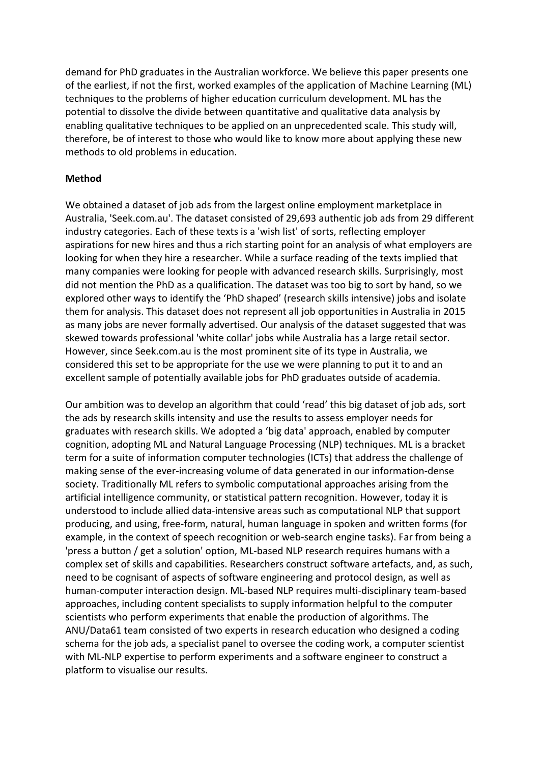demand for PhD graduates in the Australian workforce. We believe this paper presents one of the earliest, if not the first, worked examples of the application of Machine Learning (ML) techniques to the problems of higher education curriculum development. ML has the potential to dissolve the divide between quantitative and qualitative data analysis by enabling qualitative techniques to be applied on an unprecedented scale. This study will, therefore, be of interest to those who would like to know more about applying these new methods to old problems in education.

#### **Method**

We obtained a dataset of job ads from the largest online employment marketplace in Australia, 'Seek.com.au'. The dataset consisted of 29,693 authentic job ads from 29 different industry categories. Each of these texts is a 'wish list' of sorts, reflecting employer aspirations for new hires and thus a rich starting point for an analysis of what employers are looking for when they hire a researcher. While a surface reading of the texts implied that many companies were looking for people with advanced research skills. Surprisingly, most did not mention the PhD as a qualification. The dataset was too big to sort by hand, so we explored other ways to identify the 'PhD shaped' (research skills intensive) jobs and isolate them for analysis. This dataset does not represent all job opportunities in Australia in 2015 as many jobs are never formally advertised. Our analysis of the dataset suggested that was skewed towards professional 'white collar' jobs while Australia has a large retail sector. However, since Seek.com.au is the most prominent site of its type in Australia, we considered this set to be appropriate for the use we were planning to put it to and an excellent sample of potentially available jobs for PhD graduates outside of academia.

Our ambition was to develop an algorithm that could 'read' this big dataset of job ads, sort the ads by research skills intensity and use the results to assess employer needs for graduates with research skills. We adopted a 'big data' approach, enabled by computer cognition, adopting ML and Natural Language Processing (NLP) techniques. ML is a bracket term for a suite of information computer technologies (ICTs) that address the challenge of making sense of the ever‐increasing volume of data generated in our information‐dense society. Traditionally ML refers to symbolic computational approaches arising from the artificial intelligence community, or statistical pattern recognition. However, today it is understood to include allied data‐intensive areas such as computational NLP that support producing, and using, free‐form, natural, human language in spoken and written forms (for example, in the context of speech recognition or web‐search engine tasks). Far from being a 'press a button / get a solution' option, ML‐based NLP research requires humans with a complex set of skills and capabilities. Researchers construct software artefacts, and, as such, need to be cognisant of aspects of software engineering and protocol design, as well as human‐computer interaction design. ML‐based NLP requires multi‐disciplinary team‐based approaches, including content specialists to supply information helpful to the computer scientists who perform experiments that enable the production of algorithms. The ANU/Data61 team consisted of two experts in research education who designed a coding schema for the job ads, a specialist panel to oversee the coding work, a computer scientist with ML-NLP expertise to perform experiments and a software engineer to construct a platform to visualise our results.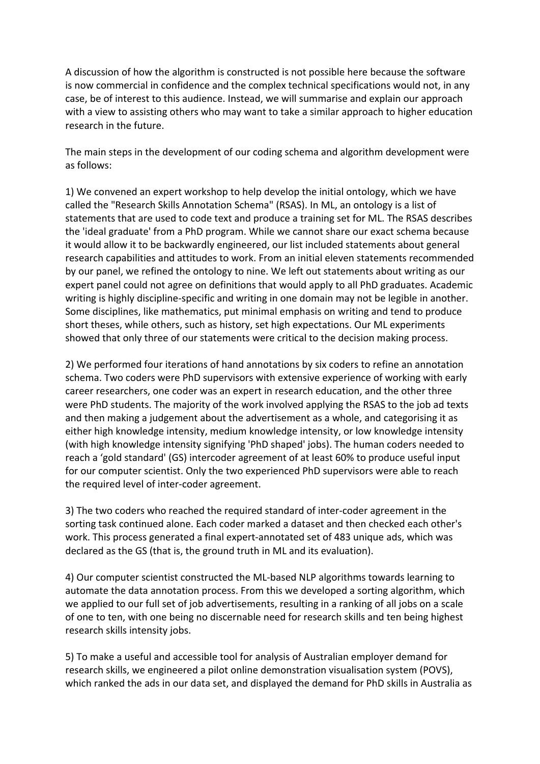A discussion of how the algorithm is constructed is not possible here because the software is now commercial in confidence and the complex technical specifications would not, in any case, be of interest to this audience. Instead, we will summarise and explain our approach with a view to assisting others who may want to take a similar approach to higher education research in the future.

The main steps in the development of our coding schema and algorithm development were as follows:

1) We convened an expert workshop to help develop the initial ontology, which we have called the "Research Skills Annotation Schema" (RSAS). In ML, an ontology is a list of statements that are used to code text and produce a training set for ML. The RSAS describes the 'ideal graduate' from a PhD program. While we cannot share our exact schema because it would allow it to be backwardly engineered, our list included statements about general research capabilities and attitudes to work. From an initial eleven statements recommended by our panel, we refined the ontology to nine. We left out statements about writing as our expert panel could not agree on definitions that would apply to all PhD graduates. Academic writing is highly discipline-specific and writing in one domain may not be legible in another. Some disciplines, like mathematics, put minimal emphasis on writing and tend to produce short theses, while others, such as history, set high expectations. Our ML experiments showed that only three of our statements were critical to the decision making process.

2) We performed four iterations of hand annotations by six coders to refine an annotation schema. Two coders were PhD supervisors with extensive experience of working with early career researchers, one coder was an expert in research education, and the other three were PhD students. The majority of the work involved applying the RSAS to the job ad texts and then making a judgement about the advertisement as a whole, and categorising it as either high knowledge intensity, medium knowledge intensity, or low knowledge intensity (with high knowledge intensity signifying 'PhD shaped' jobs). The human coders needed to reach a 'gold standard' (GS) intercoder agreement of at least 60% to produce useful input for our computer scientist. Only the two experienced PhD supervisors were able to reach the required level of inter‐coder agreement.

3) The two coders who reached the required standard of inter‐coder agreement in the sorting task continued alone. Each coder marked a dataset and then checked each other's work. This process generated a final expert‐annotated set of 483 unique ads, which was declared as the GS (that is, the ground truth in ML and its evaluation).

4) Our computer scientist constructed the ML‐based NLP algorithms towards learning to automate the data annotation process. From this we developed a sorting algorithm, which we applied to our full set of job advertisements, resulting in a ranking of all jobs on a scale of one to ten, with one being no discernable need for research skills and ten being highest research skills intensity jobs.

5) To make a useful and accessible tool for analysis of Australian employer demand for research skills, we engineered a pilot online demonstration visualisation system (POVS), which ranked the ads in our data set, and displayed the demand for PhD skills in Australia as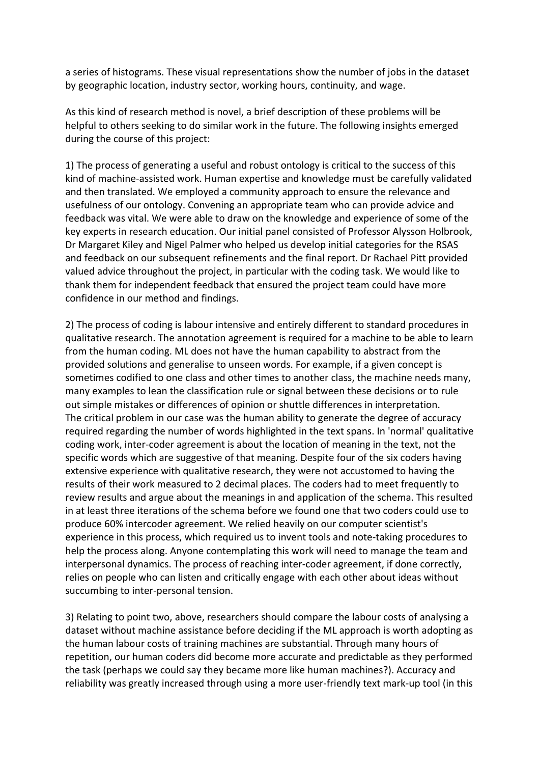a series of histograms. These visual representations show the number of jobs in the dataset by geographic location, industry sector, working hours, continuity, and wage.

As this kind of research method is novel, a brief description of these problems will be helpful to others seeking to do similar work in the future. The following insights emerged during the course of this project:

1) The process of generating a useful and robust ontology is critical to the success of this kind of machine‐assisted work. Human expertise and knowledge must be carefully validated and then translated. We employed a community approach to ensure the relevance and usefulness of our ontology. Convening an appropriate team who can provide advice and feedback was vital. We were able to draw on the knowledge and experience of some of the key experts in research education. Our initial panel consisted of Professor Alysson Holbrook, Dr Margaret Kiley and Nigel Palmer who helped us develop initial categories for the RSAS and feedback on our subsequent refinements and the final report. Dr Rachael Pitt provided valued advice throughout the project, in particular with the coding task. We would like to thank them for independent feedback that ensured the project team could have more confidence in our method and findings.

2) The process of coding is labour intensive and entirely different to standard procedures in qualitative research. The annotation agreement is required for a machine to be able to learn from the human coding. ML does not have the human capability to abstract from the provided solutions and generalise to unseen words. For example, if a given concept is sometimes codified to one class and other times to another class, the machine needs many, many examples to lean the classification rule or signal between these decisions or to rule out simple mistakes or differences of opinion or shuttle differences in interpretation. The critical problem in our case was the human ability to generate the degree of accuracy required regarding the number of words highlighted in the text spans. In 'normal' qualitative coding work, inter‐coder agreement is about the location of meaning in the text, not the specific words which are suggestive of that meaning. Despite four of the six coders having extensive experience with qualitative research, they were not accustomed to having the results of their work measured to 2 decimal places. The coders had to meet frequently to review results and argue about the meanings in and application of the schema. This resulted in at least three iterations of the schema before we found one that two coders could use to produce 60% intercoder agreement. We relied heavily on our computer scientist's experience in this process, which required us to invent tools and note‐taking procedures to help the process along. Anyone contemplating this work will need to manage the team and interpersonal dynamics. The process of reaching inter‐coder agreement, if done correctly, relies on people who can listen and critically engage with each other about ideas without succumbing to inter‐personal tension.

3) Relating to point two, above, researchers should compare the labour costs of analysing a dataset without machine assistance before deciding if the ML approach is worth adopting as the human labour costs of training machines are substantial. Through many hours of repetition, our human coders did become more accurate and predictable as they performed the task (perhaps we could say they became more like human machines?). Accuracy and reliability was greatly increased through using a more user-friendly text mark-up tool (in this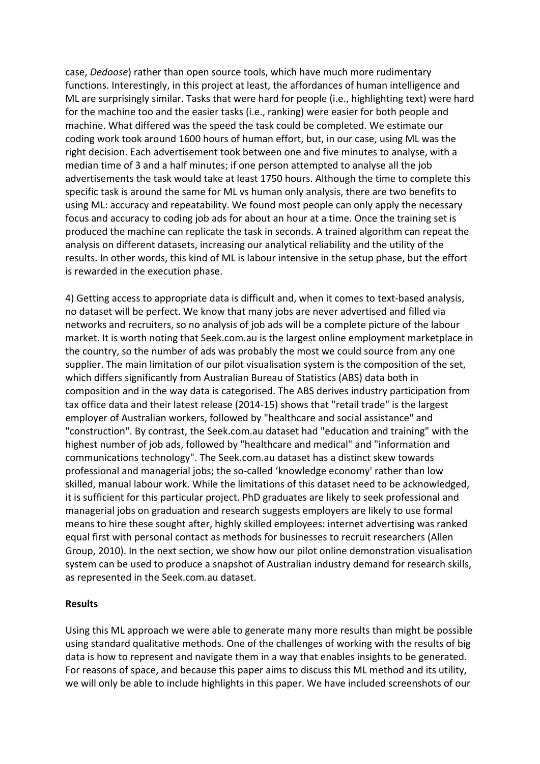case, *Dedoose*) rather than open source tools, which have much more rudimentary functions. Interestingly, in this project at least, the affordances of human intelligence and ML are surprisingly similar. Tasks that were hard for people (i.e., highlighting text) were hard for the machine too and the easier tasks (i.e., ranking) were easier for both people and machine. What differed was the speed the task could be completed. We estimate our coding work took around 1600 hours of human effort, but, in our case, using ML was the right decision. Each advertisement took between one and five minutes to analyse, with a median time of 3 and a half minutes; if one person attempted to analyse all the job advertisements the task would take at least 1750 hours. Although the time to complete this specific task is around the same for ML vs human only analysis, there are two benefits to using ML: accuracy and repeatability. We found most people can only apply the necessary focus and accuracy to coding job ads for about an hour at a time. Once the training set is produced the machine can replicate the task in seconds. A trained algorithm can repeat the analysis on different datasets, increasing our analytical reliability and the utility of the results. In other words, this kind of ML is labour intensive in the setup phase, but the effort is rewarded in the execution phase.

4) Getting access to appropriate data is difficult and, when it comes to text-based analysis, no dataset will be perfect. We know that many jobs are never advertised and filled via networks and recruiters, so no analysis of job ads will be a complete picture of the labour market. It is worth noting that Seek.com.au is the largest online employment marketplace in the country, so the number of ads was probably the most we could source from any one supplier. The main limitation of our pilot visualisation system is the composition of the set, which differs significantly from Australian Bureau of Statistics (ABS) data both in composition and in the way data is categorised. The ABS derives industry participation from tax office data and their latest release (2014‐15) shows that "retail trade" is the largest employer of Australian workers, followed by "healthcare and social assistance" and "construction". By contrast, the Seek.com.au dataset had "education and training" with the highest number of job ads, followed by "healthcare and medical" and "information and communications technology". The Seek.com.au dataset has a distinct skew towards professional and managerial jobs; the so‐called 'knowledge economy' rather than low skilled, manual labour work. While the limitations of this dataset need to be acknowledged, it is sufficient for this particular project. PhD graduates are likely to seek professional and managerial jobs on graduation and research suggests employers are likely to use formal means to hire these sought after, highly skilled employees: internet advertising was ranked equal first with personal contact as methods for businesses to recruit researchers (Allen Group, 2010). In the next section, we show how our pilot online demonstration visualisation system can be used to produce a snapshot of Australian industry demand for research skills, as represented in the Seek.com.au dataset.

### **Results**

Using this ML approach we were able to generate many more results than might be possible using standard qualitative methods. One of the challenges of working with the results of big data is how to represent and navigate them in a way that enables insights to be generated. For reasons of space, and because this paper aims to discuss this ML method and its utility, we will only be able to include highlights in this paper. We have included screenshots of our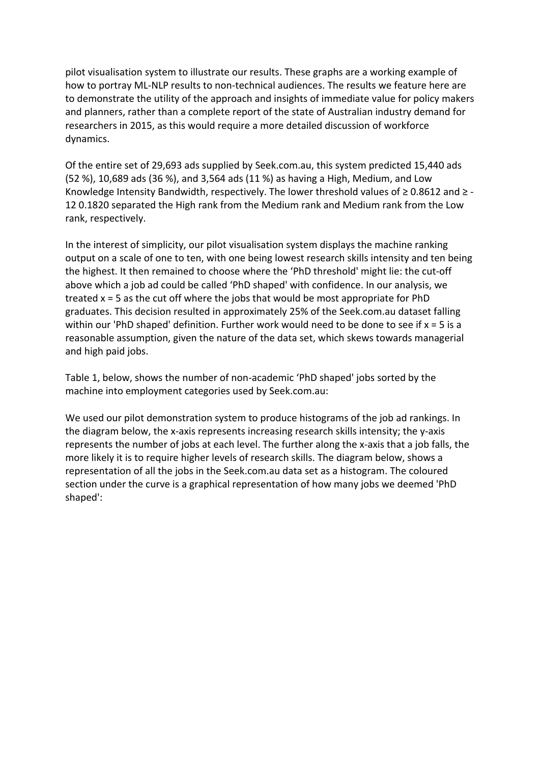pilot visualisation system to illustrate our results. These graphs are a working example of how to portray ML-NLP results to non-technical audiences. The results we feature here are to demonstrate the utility of the approach and insights of immediate value for policy makers and planners, rather than a complete report of the state of Australian industry demand for researchers in 2015, as this would require a more detailed discussion of workforce dynamics.

Of the entire set of 29,693 ads supplied by Seek.com.au, this system predicted 15,440 ads (52 %), 10,689 ads (36 %), and 3,564 ads (11 %) as having a High, Medium, and Low Knowledge Intensity Bandwidth, respectively. The lower threshold values of ≥ 0.8612 and ≥ ‐ 12 0.1820 separated the High rank from the Medium rank and Medium rank from the Low rank, respectively.

In the interest of simplicity, our pilot visualisation system displays the machine ranking output on a scale of one to ten, with one being lowest research skills intensity and ten being the highest. It then remained to choose where the 'PhD threshold' might lie: the cut‐off above which a job ad could be called 'PhD shaped' with confidence. In our analysis, we treated  $x = 5$  as the cut off where the jobs that would be most appropriate for PhD graduates. This decision resulted in approximately 25% of the Seek.com.au dataset falling within our 'PhD shaped' definition. Further work would need to be done to see if x = 5 is a reasonable assumption, given the nature of the data set, which skews towards managerial and high paid jobs.

Table 1, below, shows the number of non‐academic 'PhD shaped' jobs sorted by the machine into employment categories used by Seek.com.au:

We used our pilot demonstration system to produce histograms of the job ad rankings. In the diagram below, the x‐axis represents increasing research skills intensity; the y‐axis represents the number of jobs at each level. The further along the x‐axis that a job falls, the more likely it is to require higher levels of research skills. The diagram below, shows a representation of all the jobs in the Seek.com.au data set as a histogram. The coloured section under the curve is a graphical representation of how many jobs we deemed 'PhD shaped':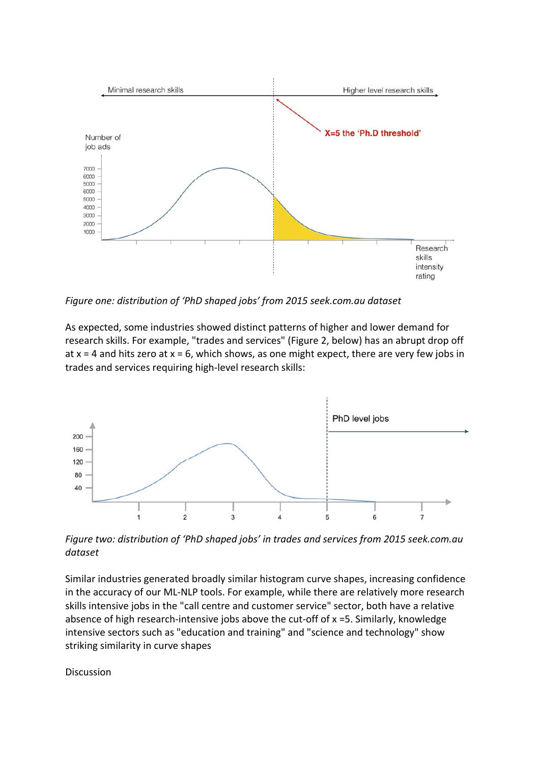

*Figure one: distribution of 'PhD shaped jobs' from 2015 seek.com.au dataset*

As expected, some industries showed distinct patterns of higher and lower demand for research skills. For example, "trades and services" (Figure 2, below) has an abrupt drop off at  $x = 4$  and hits zero at  $x = 6$ , which shows, as one might expect, there are very few jobs in trades and services requiring high‐level research skills:



*Figure two: distribution of 'PhD shaped jobs' in trades and services from 2015 seek.com.au dataset*

Similar industries generated broadly similar histogram curve shapes, increasing confidence in the accuracy of our ML‐NLP tools. For example, while there are relatively more research skills intensive jobs in the "call centre and customer service" sector, both have a relative absence of high research-intensive jobs above the cut-off of x =5. Similarly, knowledge intensive sectors such as "education and training" and "science and technology" show striking similarity in curve shapes

Discussion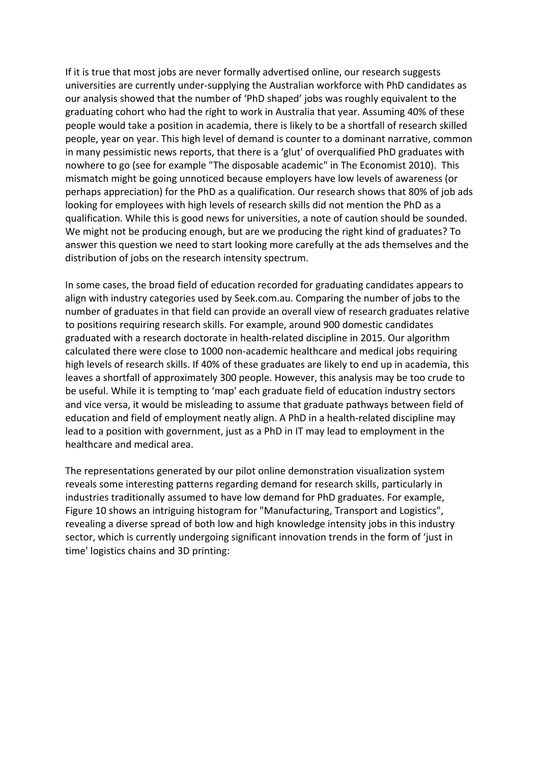If it is true that most jobs are never formally advertised online, our research suggests universities are currently under‐supplying the Australian workforce with PhD candidates as our analysis showed that the number of 'PhD shaped' jobs was roughly equivalent to the graduating cohort who had the right to work in Australia that year. Assuming 40% of these people would take a position in academia, there is likely to be a shortfall of research skilled people, year on year. This high level of demand is counter to a dominant narrative, common in many pessimistic news reports, that there is a 'glut' of overqualified PhD graduates with nowhere to go (see for example "The disposable academic" in The Economist 2010). This mismatch might be going unnoticed because employers have low levels of awareness (or perhaps appreciation) for the PhD as a qualification. Our research shows that 80% of job ads looking for employees with high levels of research skills did not mention the PhD as a qualification. While this is good news for universities, a note of caution should be sounded. We might not be producing enough, but are we producing the right kind of graduates? To answer this question we need to start looking more carefully at the ads themselves and the distribution of jobs on the research intensity spectrum.

In some cases, the broad field of education recorded for graduating candidates appears to align with industry categories used by Seek.com.au. Comparing the number of jobs to the number of graduates in that field can provide an overall view of research graduates relative to positions requiring research skills. For example, around 900 domestic candidates graduated with a research doctorate in health‐related discipline in 2015. Our algorithm calculated there were close to 1000 non‐academic healthcare and medical jobs requiring high levels of research skills. If 40% of these graduates are likely to end up in academia, this leaves a shortfall of approximately 300 people. However, this analysis may be too crude to be useful. While it is tempting to 'map' each graduate field of education industry sectors and vice versa, it would be misleading to assume that graduate pathways between field of education and field of employment neatly align. A PhD in a health-related discipline may lead to a position with government, just as a PhD in IT may lead to employment in the healthcare and medical area.

The representations generated by our pilot online demonstration visualization system reveals some interesting patterns regarding demand for research skills, particularly in industries traditionally assumed to have low demand for PhD graduates. For example, Figure 10 shows an intriguing histogram for "Manufacturing, Transport and Logistics", revealing a diverse spread of both low and high knowledge intensity jobs in this industry sector, which is currently undergoing significant innovation trends in the form of 'just in time' logistics chains and 3D printing: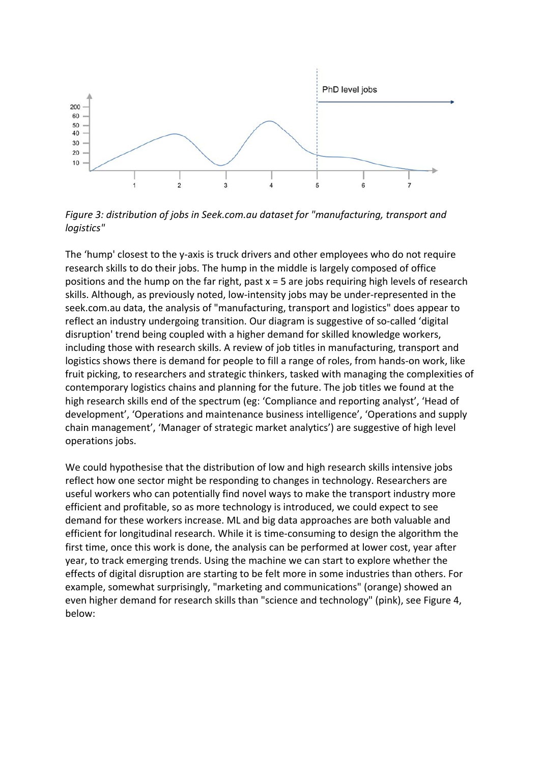

*Figure 3: distribution of jobs in Seek.com.au dataset for "manufacturing, transport and logistics"*

The 'hump' closest to the y-axis is truck drivers and other employees who do not require research skills to do their jobs. The hump in the middle is largely composed of office positions and the hump on the far right, past x = 5 are jobs requiring high levels of research skills. Although, as previously noted, low-intensity jobs may be under-represented in the seek.com.au data, the analysis of "manufacturing, transport and logistics" does appear to reflect an industry undergoing transition. Our diagram is suggestive of so‐called 'digital disruption' trend being coupled with a higher demand for skilled knowledge workers, including those with research skills. A review of job titles in manufacturing, transport and logistics shows there is demand for people to fill a range of roles, from hands‐on work, like fruit picking, to researchers and strategic thinkers, tasked with managing the complexities of contemporary logistics chains and planning for the future. The job titles we found at the high research skills end of the spectrum (eg: 'Compliance and reporting analyst', 'Head of development', 'Operations and maintenance business intelligence', 'Operations and supply chain management', 'Manager of strategic market analytics') are suggestive of high level operations jobs.

We could hypothesise that the distribution of low and high research skills intensive jobs reflect how one sector might be responding to changes in technology. Researchers are useful workers who can potentially find novel ways to make the transport industry more efficient and profitable, so as more technology is introduced, we could expect to see demand for these workers increase. ML and big data approaches are both valuable and efficient for longitudinal research. While it is time‐consuming to design the algorithm the first time, once this work is done, the analysis can be performed at lower cost, year after year, to track emerging trends. Using the machine we can start to explore whether the effects of digital disruption are starting to be felt more in some industries than others. For example, somewhat surprisingly, "marketing and communications" (orange) showed an even higher demand for research skills than "science and technology" (pink), see Figure 4, below: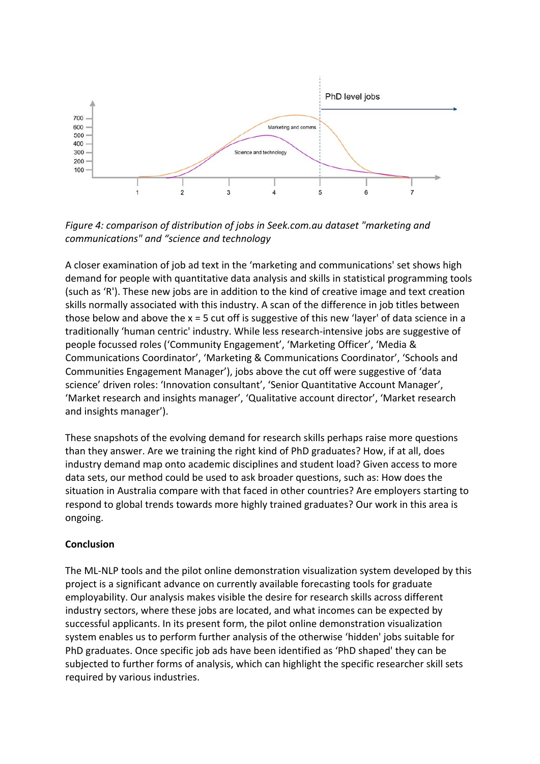

*Figure 4: comparison of distribution of jobs in Seek.com.au dataset "marketing and communications" and "science and technology*

A closer examination of job ad text in the 'marketing and communications' set shows high demand for people with quantitative data analysis and skills in statistical programming tools (such as 'R'). These new jobs are in addition to the kind of creative image and text creation skills normally associated with this industry. A scan of the difference in job titles between those below and above the x = 5 cut off is suggestive of this new 'layer' of data science in a traditionally 'human centric' industry. While less research‐intensive jobs are suggestive of people focussed roles ('Community Engagement', 'Marketing Officer', 'Media & Communications Coordinator', 'Marketing & Communications Coordinator', 'Schools and Communities Engagement Manager'), jobs above the cut off were suggestive of 'data science' driven roles: 'Innovation consultant', 'Senior Quantitative Account Manager', 'Market research and insights manager', 'Qualitative account director', 'Market research and insights manager').

These snapshots of the evolving demand for research skills perhaps raise more questions than they answer. Are we training the right kind of PhD graduates? How, if at all, does industry demand map onto academic disciplines and student load? Given access to more data sets, our method could be used to ask broader questions, such as: How does the situation in Australia compare with that faced in other countries? Are employers starting to respond to global trends towards more highly trained graduates? Our work in this area is ongoing.

## **Conclusion**

The ML‐NLP tools and the pilot online demonstration visualization system developed by this project is a significant advance on currently available forecasting tools for graduate employability. Our analysis makes visible the desire for research skills across different industry sectors, where these jobs are located, and what incomes can be expected by successful applicants. In its present form, the pilot online demonstration visualization system enables us to perform further analysis of the otherwise 'hidden' jobs suitable for PhD graduates. Once specific job ads have been identified as 'PhD shaped' they can be subjected to further forms of analysis, which can highlight the specific researcher skill sets required by various industries.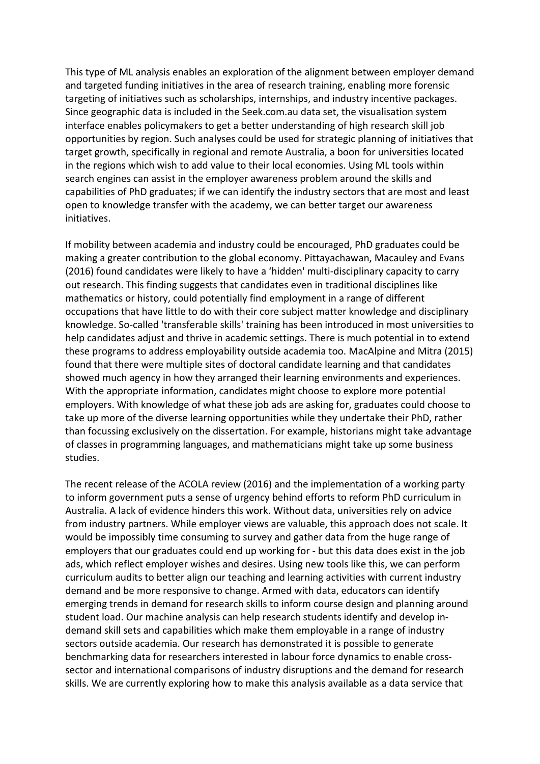This type of ML analysis enables an exploration of the alignment between employer demand and targeted funding initiatives in the area of research training, enabling more forensic targeting of initiatives such as scholarships, internships, and industry incentive packages. Since geographic data is included in the Seek.com.au data set, the visualisation system interface enables policymakers to get a better understanding of high research skill job opportunities by region. Such analyses could be used for strategic planning of initiatives that target growth, specifically in regional and remote Australia, a boon for universities located in the regions which wish to add value to their local economies. Using ML tools within search engines can assist in the employer awareness problem around the skills and capabilities of PhD graduates; if we can identify the industry sectors that are most and least open to knowledge transfer with the academy, we can better target our awareness initiatives.

If mobility between academia and industry could be encouraged, PhD graduates could be making a greater contribution to the global economy. Pittayachawan, Macauley and Evans (2016) found candidates were likely to have a 'hidden' multi‐disciplinary capacity to carry out research. This finding suggests that candidates even in traditional disciplines like mathematics or history, could potentially find employment in a range of different occupations that have little to do with their core subject matter knowledge and disciplinary knowledge. So-called 'transferable skills' training has been introduced in most universities to help candidates adjust and thrive in academic settings. There is much potential in to extend these programs to address employability outside academia too. MacAlpine and Mitra (2015) found that there were multiple sites of doctoral candidate learning and that candidates showed much agency in how they arranged their learning environments and experiences. With the appropriate information, candidates might choose to explore more potential employers. With knowledge of what these job ads are asking for, graduates could choose to take up more of the diverse learning opportunities while they undertake their PhD, rather than focussing exclusively on the dissertation. For example, historians might take advantage of classes in programming languages, and mathematicians might take up some business studies.

The recent release of the ACOLA review (2016) and the implementation of a working party to inform government puts a sense of urgency behind efforts to reform PhD curriculum in Australia. A lack of evidence hinders this work. Without data, universities rely on advice from industry partners. While employer views are valuable, this approach does not scale. It would be impossibly time consuming to survey and gather data from the huge range of employers that our graduates could end up working for ‐ but this data does exist in the job ads, which reflect employer wishes and desires. Using new tools like this, we can perform curriculum audits to better align our teaching and learning activities with current industry demand and be more responsive to change. Armed with data, educators can identify emerging trends in demand for research skills to inform course design and planning around student load. Our machine analysis can help research students identify and develop in‐ demand skill sets and capabilities which make them employable in a range of industry sectors outside academia. Our research has demonstrated it is possible to generate benchmarking data for researchers interested in labour force dynamics to enable cross‐ sector and international comparisons of industry disruptions and the demand for research skills. We are currently exploring how to make this analysis available as a data service that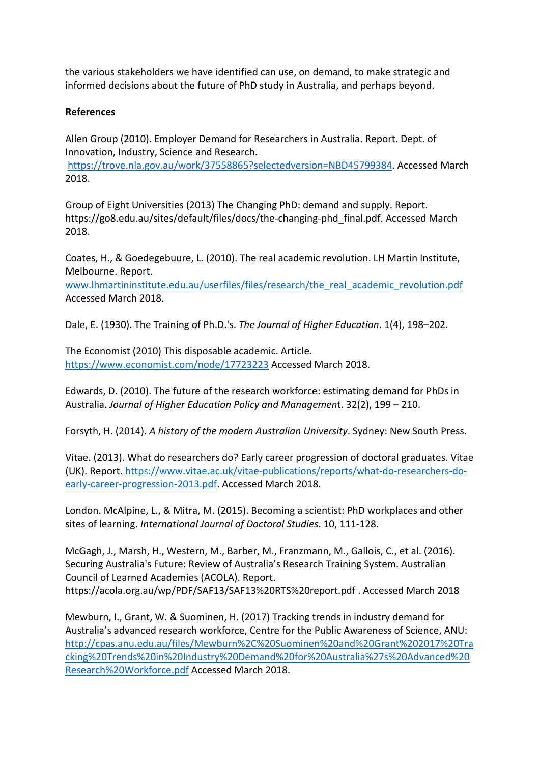the various stakeholders we have identified can use, on demand, to make strategic and informed decisions about the future of PhD study in Australia, and perhaps beyond.

# **References**

Allen Group (2010). Employer Demand for Researchers in Australia. Report. Dept. of Innovation, Industry, Science and Research.

https://trove.nla.gov.au/work/37558865?selectedversion=NBD45799384. Accessed March 2018.

Group of Eight Universities (2013) The Changing PhD: demand and supply. Report. https://go8.edu.au/sites/default/files/docs/the-changing-phd\_final.pdf. Accessed March 2018.

Coates, H., & Goedegebuure, L. (2010). The real academic revolution. LH Martin Institute, Melbourne. Report.

www.lhmartininstitute.edu.au/userfiles/files/research/the\_real\_academic\_revolution.pdf Accessed March 2018.

Dale, E. (1930). The Training of Ph.D.'s. *The Journal of Higher Education*. 1(4), 198–202.

The Economist (2010) This disposable academic. Article. https://www.economist.com/node/17723223 Accessed March 2018.

Edwards, D. (2010). The future of the research workforce: estimating demand for PhDs in Australia. *Journal of Higher Education Policy and Managemen*t. 32(2), 199 – 210.

Forsyth, H. (2014). *A history of the modern Australian University*. Sydney: New South Press.

Vitae. (2013). What do researchers do? Early career progression of doctoral graduates. Vitae (UK). Report. https://www.vitae.ac.uk/vitae‐publications/reports/what‐do‐researchers‐do‐ early‐career‐progression‐2013.pdf. Accessed March 2018.

London. McAlpine, L., & Mitra, M. (2015). Becoming a scientist: PhD workplaces and other sites of learning. *International Journal of Doctoral Studies*. 10, 111‐128.

McGagh, J., Marsh, H., Western, M., Barber, M., Franzmann, M., Gallois, C., et al. (2016). Securing Australia's Future: Review of Australia's Research Training System. Australian Council of Learned Academies (ACOLA). Report. https://acola.org.au/wp/PDF/SAF13/SAF13%20RTS%20report.pdf . Accessed March 2018

Mewburn, I., Grant, W. & Suominen, H. (2017) Tracking trends in industry demand for Australia's advanced research workforce, Centre for the Public Awareness of Science, ANU: http://cpas.anu.edu.au/files/Mewburn%2C%20Suominen%20and%20Grant%202017%20Tra cking%20Trends%20in%20Industry%20Demand%20for%20Australia%27s%20Advanced%20 Research%20Workforce.pdf Accessed March 2018.